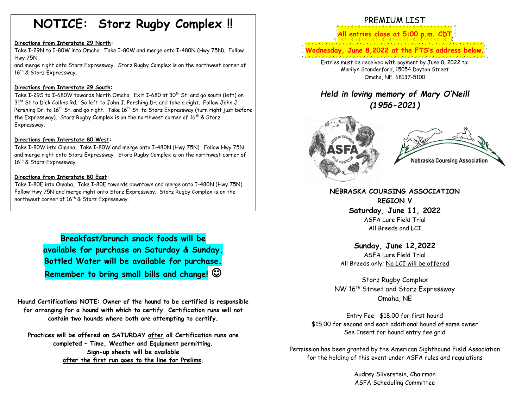# **NOTICE: Storz Rugby Complex !!**

### **Directions from Interstate 29 North:**

Take I-29N to I-80W into Omaha. Take I-80W and merge onto I-480N (Hwy 75N). Follow Hwy 75N

and merge right onto Storz Expressway. Storz Rugby Complex is on the northwest corner of 16<sup>th</sup> & Storz Expressway.

### **Directions from Interstate 29 South:**

Take I-29S to I-680W towards North Omaha. Exit I-680 at 30<sup>th</sup> St. and go south (left) on 31<sup>st</sup> St to Dick Collins Rd. Go left to John J. Pershing Dr. and take a right. Follow John J. Pershing Dr. to 16<sup>th</sup> St. and go right. Take 16<sup>th</sup> St. to Storz Expressway (turn right just before the Expressway). Storz Rugby Complex is on the northwest corner of  $16<sup>th</sup>$  & Storz Expressway.

### **Directions from Interstate 80 West:**

Take I-80W into Omaha. Take I-80W and merge onto I-480N (Hwy 75N). Follow Hwy 75N and merge right onto Storz Expressway. Storz Rugby Complex is on the northwest corner of 16<sup>th</sup> & Storz Expressway.

### **Directions from Interstate 80 East:**

Take I-80E into Omaha. Take I-80E towards downtown and merge onto I-480N (Hwy 75N). Follow Hwy 75N and merge right onto Storz Expressway. Storz Rugby Complex is on the northwest corner of  $16<sup>th</sup>$  & Storz Expressway.

> **Breakfast/brunch snack foods will be available for purchase on Saturday & Sunday. Bottled Water will be available for purchase. Remember to bring small bills and change!** ☺

**Hound Certifications NOTE: Owner of the hound to be certified is responsible for arranging for a hound with which to certify. Certification runs will not contain two hounds where both are attempting to certify.**

**Practices will be offered on SATURDAY after all Certification runs are completed – Time, Weather and Equipment permitting. Sign-up sheets will be available after the first run goes to the line for Prelims.**

# PREMIUM LIST **entries** close at 5:00 p.m. CD **Wednesday, June 8,2022 at the FTS's address below.** Entries must be received with payment by June 8, 2022 to: Marilyn Standerford, 15054 Dayton Street Omaha, NE 68137-5100

*Held in loving memory of Mary O'Neill (1956-2021)*



**Nebraska Coursing Association** 

**NEBRASKA COURSING ASSOCIATION REGION V Saturday, June 11, 2022** ASFA Lure Field Trial All Breeds and LCI

**Sunday, June 12,2022** ASFA Lure Field Trial All Breeds only; No LCI will be offered

Storz Rugby Complex NW 16th Street and Storz Expressway Omaha, NE

Entry Fee: \$18.00 for first hound \$15.00 for second and each additional hound of same owner See Insert for hound entry fee grid

Permission has been granted by the American Sighthound Field Association for the holding of this event under ASFA rules and regulations

> Audrey Silverstein, Chairman ASFA Scheduling Committee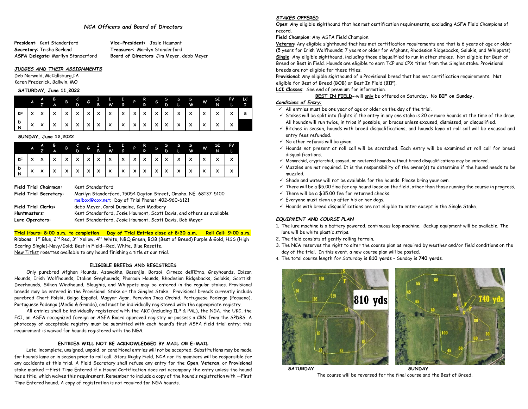### *NCA Officers and Board of Directors*

**Secretary**: Trisha Borland **Treasurer**: Marilyn Standerford **ASFA Delegate**: Marilyn Standerford **Board of Directors**: Jim Meyer, debb Meyer

**President**: Kent Standerford **Vice-President:** Josie Haumont

### *JUDGES AND THEIR ASSIGNMENTS*

Deb Narwold, McCallsburg,IA Karen Frederick, Ballwin, MO

#### **SATURDAY, June 11,2022**

|  |  |  |  |  |  |  |  | A A B B C G I I I I P R S S S S S S F PV LC<br>A Z A B D G B W G P R S D L W W N L I |  |
|--|--|--|--|--|--|--|--|--------------------------------------------------------------------------------------|--|
|  |  |  |  |  |  |  |  |                                                                                      |  |
|  |  |  |  |  |  |  |  |                                                                                      |  |

### **SUNDAY, June 12,2022**

|  |  |  |  |  |  |  |  | A B B C G I I I P R S S S S S W SI PV<br>A B B C G I I I P R S S S S W SI PV |  |
|--|--|--|--|--|--|--|--|------------------------------------------------------------------------------|--|
|  |  |  |  |  |  |  |  |                                                                              |  |
|  |  |  |  |  |  |  |  |                                                                              |  |

|  | <b>Field Trial Chairman:</b>  | Ker |
|--|-------------------------------|-----|
|  | <b>Field Trial Secretary:</b> | Mai |

**Field Trial Chairman:** Kent Standerford

| Field Trial Secretary:     | Marilyn Standerford, 15054 Dayton Street, Omaha, NE 68137-5100        |
|----------------------------|-----------------------------------------------------------------------|
|                            | melbox@cox.net; Day of Trial Phone: 402-960-6121                      |
| <b>Field Trial Clerks:</b> | debb Meyer, Carol Dumaine, Kari Medbery                               |
| Huntmasters:               | Kent Standerford, Josie Haumont, Scott Davis, and others as available |
| Lure Operators:            | Kent Standerford, Josie Haumont, Scott Davis, Bob Meyer               |

## **Trial Hours: 8:00 a.m. to completion Day of Trial Entries close at 8:30 a.m. Roll Call: 9:00 a.m.**

**Ribbons**: 1st Blue, 2nd Red, 3rd Yellow, 4th White, NBQ Green, BOB (Best of Breed) Purple & Gold, HSS (High Scoring Single)-Navy/Gold; Best in Field—Red, White, Blue Rosette. New Titlist rosettes available to any hound finishing a title at our trial.

### **ELIGIBLE BREEDS AND REGISTRIES**

Only purebred Afghan Hounds, Azawakhs, Basenjis, Borzoi, Cirneco dell'Etna, Greyhounds, Ibizan Hounds, Irish Wolfhounds, Italian Greyhounds, Pharaoh Hounds, Rhodesian Ridgebacks, Salukis, Scottish Deerhounds, Silken Windhound, Sloughis, and Whippets may be entered in the regular stakes. Provisional breeds may be entered in the Provisional Stake or the Singles Stake. Provisional breeds currently include purebred Chart Polski, Galgo Español, Magyar Agar, Peruvian Inca Orchid, Portuguese Podengo (Pequeno), Portuguese Podengo (Medio & Grande), and must be individually registered with the appropriate registry.

All entries shall be individually registered with the AKC (including ILP & PAL), the NGA, the UKC, the FCI, an ASFA-recognized foreign or ASFA Board approved registry or possess a CRN from the SPDBS. A photocopy of acceptable registry must be submitted with each hound's first ASFA field trial entry; this requirement is waived for hounds registered with the NGA.

### **ENTRIES WILL NOT BE ACKNOWLEDGED BY MAIL OR E-MAIL**

Late, incomplete, unsigned, unpaid, or conditional entries will not be accepted. Substitutions may be made for hounds lame or in season prior to roll call. Storz Rugby Field, NCA nor its members will be responsible for any accidents at this trial. A Field Secretary shall refuse any entry for the **Open**, **Veteran**, or **Provisional** stake marked ―First Time Entered if a Hound Certification does not accompany the entry unless the hound has a title, which waives this requirement. Remember to include a copy of the hound's registration with ―First Time Entered hound. A copy of registration is not required for NGA hounds.

### *STAKES OFFERED*

**Open**: Any eligible sighthound that has met certification requirements, excluding ASFA Field Champions of record.

### **Field Champion**: Any ASFA Field Champion.

**Veteran**: Any eligible sighthound that has met certification requirements and that is 6 years of age or older (5 years for Irish Wolfhounds; 7 years or older for Afghans, Rhodesian Ridgebacks, Salukis, and Whippets) **Single**: Any eligible sighthound, including those disqualified to run in other stakes. Not eligible for Best of Breed or Best in Field. Hounds are eligible to earn TCP and CPX titles from the Singles stake. Provisional breeds are not eligible for these titles.

**Provisional**: Any eligible sighthound of a Provisional breed that has met certification requirements. Not eligible for Best of Breed (BOB) or Best In Field (BIF).

**LCI Classes**: See end of premium for information.

### **BEST IN FIELD**-–will **only** be offered on Saturday**. No BIF on Sunday.**

### *Conditions of Entry:*

- $\checkmark$  All entries must be one year of age or older on the day of the trial.
- ✓ Stakes will be split into flights if the entry in any one stake is 20 or more hounds at the time of the draw. All hounds will run twice, in trios if possible, or braces unless excused, dismissed, or disqualified.
- ✓ Bitches in season, hounds with breed disqualifications, and hounds lame at roll call will be excused and entry fees refunded.
- $\checkmark$  No other refunds will be given.
- ✓ Hounds not present at roll call will be scratched. Each entry will be examined at roll call for breed disqualifications.
- ✓ Monorchid, cryptorchid, spayed, or neutered hounds without breed disqualifications may be entered.
- ✓ Muzzles are not required. It is the responsibility of the owner(s) to determine if the hound needs to be muzzled.
- $\checkmark$  Shade and water will not be available for the hounds. Please bring your own.
- ✓ There will be a \$5.00 fine for any hound loose on the field, other than those running the course in progress.
- $\checkmark$  There will be a \$35.00 fee for returned checks.
- $\checkmark$  Everyone must clean up after his or her dogs.
- ✓ Hounds with breed disqualifications are not eligible to enter except in the Single Stake.

### *EQUIPMENT AND COURSE PLAN*

- 1. The lure machine is a battery powered, continuous loop machine. Backup equipment will be available. The lure will be white plastic strips.
- 2. The field consists of gently rolling terrain.
- 3. The NCA reserves the right to alter the course plan as required by weather and/or field conditions on the day of the trial. In this event, a new course plan will be posted.
- 4. The total course length for Saturday is **810 yards** Sunday is **740 yards**.



**SATURDAY SUNDAY**

The course will be reversed for the final course and the Best of Breed.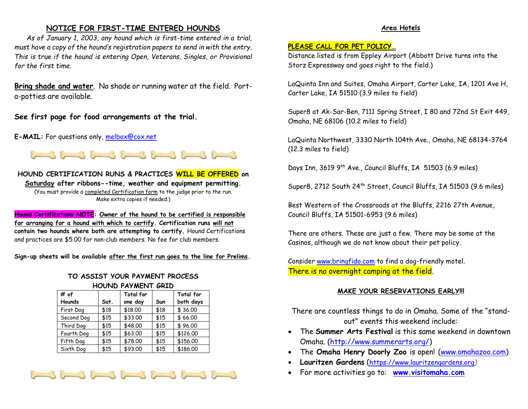## **NOTICE FOR FIRST-TIME ENTERED HOUNDS**

*As of January 1, 2003, any hound which is first-time entered in a trial, must have a copy of the hound's registration papers to send in with the entry. This is true if the hound is entering Open, Veterans, Singles, or Provisional for the first time.*

**Bring shade and water**. No shade or running water at the field. Porta-potties are available.

**See first page for food arrangements at the trial.**

**E-MAIL:** For questions only, [melbox@cox.net](mailto:melbox@cox.net)



**HOUND CERTIFICATION RUNS & PRACTICES WILL BE OFFERED on Saturday after ribbons--time, weather and equipment permitting.**  (You must provide a completed Certification form to the judge prior to the run. Make extra copies if needed.)

**Hound Certifications NOTE: Owner of the hound to be certified is responsible for arranging for a hound with which to certify. Certification runs will not contain two hounds where both are attempting to certify.** Hound Certifications and practices are \$5.00 for non-club members. No fee for club members.

**Sign-up sheets will be available after the first run goes to the line for Prelims.**

# **TO ASSIST YOUR PAYMENT PROCESS HOUND PAYMENT GRID**

| # of       |      | <b>Total for</b> |      | Total for |
|------------|------|------------------|------|-----------|
| Hounds     | Sat. | one day          | Sun  | both days |
| First Dog  | \$18 | \$18.00          | \$18 | \$36.00   |
| Second Dog | \$15 | \$33.00          | \$15 | \$66.00   |
| Third Dog  | \$15 | \$48.00          | \$15 | \$96.00   |
| Fourth Dog | \$15 | \$63.00          | \$15 | \$126.00  |
| Fifth Dog  | \$15 | \$78.00          | \$15 | \$156.00  |
| Sixth Dog  | \$15 | \$93.00          | \$15 | \$186.00  |



# **Area Hotels**

# **PLEASE CALL FOR PET POLICY…**

Distance listed is from Eppley Airport (Abbott Drive turns into the Storz Expressway and goes right to the field.)

LaQuinta Inn and Suites, Omaha Airport, Carter Lake, IA, 1201 Ave H, Carter Lake, IA 51510 (3.9 miles to field)

Super8 at Ak-Sar-Ben, 7111 Spring Street, I 80 and 72nd St Exit 449, Omaha, NE 68106 (10.2 miles to field)

LaQuinta Northwest, 3330 North 104th Ave., Omaha, NE 68134-3764 (12.3 miles to field)

Days Inn, 3619 9<sup>th</sup> Ave., Council Bluffs, IA 51503 (6.9 miles)

Super8, 2712 South 24<sup>th</sup> Street, Council Bluffs, IA 51503 (9.6 miles)

Best Western of the Crossroads at the Bluffs, 2216 27th Avenue, Council Bluffs, IA 51501-6953 (9.6 miles)

There are others. These are just a few. There may be some at the Casinos, although we do not know about their pet policy.

Consider [www.bringfido.com](http://www.bringfido.com/) to find a dog-friendly motel. There is no overnight camping at the field.

# **MAKE YOUR RESERVATIONS EARLY!!!**

There are countless things to do in Omaha. Some of the "standout" events this weekend include:

- The **Summer Arts Festival** is this same weekend in downtown Omaha. [\(http://www.summerarts.org/\)](http://www.summerarts.org/)
- The **Omaha Henry Doorly Zoo** is open! [\(www.omahazoo.com\)](http://www.omahazoo.com/)
- **Lauritzen Gardens** ([https://www.lauritzengardens.org](https://www.lauritzengardens.org/)*)*
- For more activities go to: **[www.visitomaha.com](http://www.visitomaha.com/)**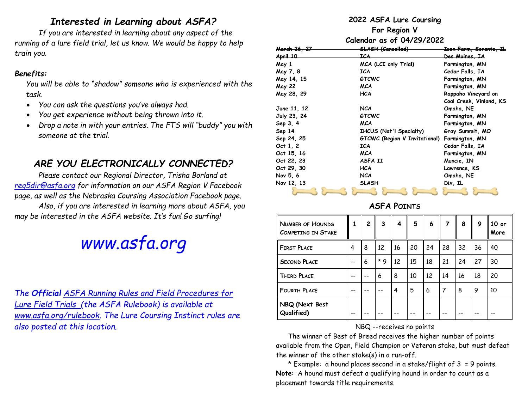# *Interested in Learning about ASFA?*

*If you are interested in learning about any aspect of the running of a lure field trial, let us know. We would be happy to help train you.* 

# *Benefits:*

*You will be able to "shadow" someone who is experienced with the task.*

- *You can ask the questions you've always had.*
- *You get experience without being thrown into it.*
- *Drop a note in with your entries. The FTS will "buddy" you with someone at the trial.*

# *ARE YOU ELECTRONICALLY CONNECTED?*

*Please contact our Regional Director, Trisha Borland at [reg5dir@asfa.org](mailto:reg5dir@asfa.org) for information on our ASFA Region V Facebook page, as well as the Nebraska Coursing Association Facebook page. Also, if you are interested in learning more about ASFA, you may be interested in the ASFA website. It's fun! Go surfing!* 

# *[www.asfa.org](http://www.asfa.org/)*

*The Official ASFA Running Rules and Field Procedures for Lure Field Trials (the ASFA Rulebook) is available at [www.asfa.org/rulebook.](http://www.asfa.org/rulebook) The Lure Coursing Instinct rules are also posted at this location.*

# **2022 ASFA Lure Coursing**

**For Region V**

**Calendar as of 04/29/2022**

| <del>March 26, 27</del> | <del>SLASH (Cancelled)</del>   | <del>Isen Farm, Sorento, IL</del> |
|-------------------------|--------------------------------|-----------------------------------|
| April 10                | ICA                            | <del>Des Moines, IA</del>         |
| May 1                   | MCA (LCI only Trial)           | Farmington, MN                    |
| May 7, 8                | <b>ICA</b>                     | Cedar Falls, IA                   |
| May 14, 15              | <b>GTCWC</b>                   | Farmington, MN                    |
| <b>May 22</b>           | <b>MCA</b>                     | Farmington, MN                    |
| May 28, 29              | <b>HCA</b>                     | Rappaho Vineyard on               |
|                         |                                | Coal Creek, Vinland, KS           |
| June 11, 12             | <b>NCA</b>                     | Omaha, NE                         |
| July 23, 24             | <b>GTCWC</b>                   | Farmington, MN                    |
| Sep 3, 4                | <b>MCA</b>                     | Farmington, MN                    |
| Sep 14                  | <b>IHCUS (Nat'l Specialty)</b> | Gray Summit, MO                   |
| Sep 24, 25              | GTCWC (Region V Invitational)  | Farmington, MN                    |
| Oct $1, 2$              | <b>ICA</b>                     | Cedar Falls, IA                   |
| Oct 15, 16              | <b>MCA</b>                     | Farmington, MN                    |
| Oct 22, 23              | ASFA II                        | Muncie, IN                        |
| Oct 29, 30              | <b>HCA</b>                     | Lawrence, KS                      |
| Nov 5, 6                | <b>NCA</b>                     | Omaha, NE                         |
| Nov 12, 13              | <b>SLASH</b>                   | Dix, IL                           |
|                         |                                |                                   |

# **ASFA POINTS**

| <b>NUMBER OF HOUNDS</b><br><b>COMPETING IN STAKE</b> |                | $\overline{2}$ | $\mathbf{3}$ | 4  | 5  | 6  | 7  | 8  | 9  | $10$ or<br>More |
|------------------------------------------------------|----------------|----------------|--------------|----|----|----|----|----|----|-----------------|
| <b>FIRST PLACE</b>                                   | $\overline{4}$ | 8              | 12           | 16 | 20 | 24 | 28 | 32 | 36 | 40              |
| <b>SECOND PLACE</b>                                  | --             | 6              | $*$ 9        | 12 | 15 | 18 | 21 | 24 | 27 | 30              |
| <b>THIRD PLACE</b>                                   | --             |                | 6            | 8  | 10 | 12 | 14 | 16 | 18 | 20              |
| <b>FOURTH PLACE</b>                                  |                |                |              | 4  | 5  | 6  | 7  | 8  | 9  | 10              |
| NBQ (Next Best<br>Qualified)                         |                |                |              |    |    | -- |    |    |    |                 |

# NBQ --receives no points

The winner of Best of Breed receives the higher number of points available from the Open, Field Champion or Veteran stake, but must defeat the winner of the other stake(s) in a run-off.

\* Example: a hound places second in a stake/flight of  $3 = 9$  points. **Note**: A hound must defeat a qualifying hound in order to count as a placement towards title requirements.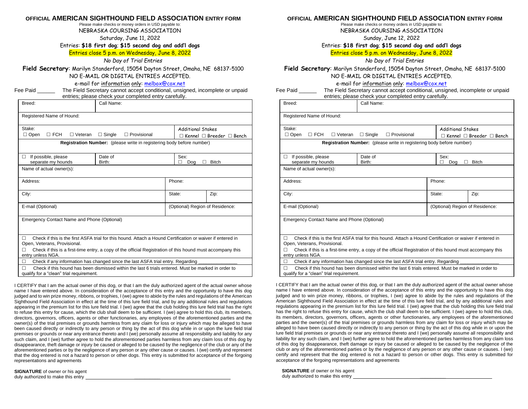### **OFFICIAL AMERICAN SIGHTHOUND FIELD ASSOCIATION ENTRY FORM**

Please make checks or money orders in USD payable to: NEBRASKA COURSING ASSOCIATION

Saturday, June 11, 2022

Entries: **\$18 first dog**; **\$15 second dog and add'l dogs**

### Entries close 5 p.m. on Wednesday, June 8, 2022

*No Day of Trial Entries*

**Field Secretary**: Marilyn Standerford, 15054 Dayton Street, Omaha, NE 68137-5100 NO E-MAIL OR DIGITAL ENTRIES ACCEPTED.

e-mail for information only[: melbox@cox.net](mailto:melbox@cox.net)

Fee Paid \_\_\_\_\_\_\_\_ The Field Secretary cannot accept conditional, unsigned, incomplete or unpaid entries; please check your completed entry carefully.

|                                                                                                                                      | $\frac{1}{2}$                                                                                              |                                 |                                           |  |  |  |
|--------------------------------------------------------------------------------------------------------------------------------------|------------------------------------------------------------------------------------------------------------|---------------------------------|-------------------------------------------|--|--|--|
| Breed:                                                                                                                               | Call Name:                                                                                                 |                                 |                                           |  |  |  |
| Registered Name of Hound:                                                                                                            |                                                                                                            |                                 |                                           |  |  |  |
| Stake:                                                                                                                               |                                                                                                            |                                 | Additional Stakes                         |  |  |  |
| $\Box$ Open<br>$\square$ FCH<br>$\Box$ Veteran                                                                                       | $\Box$ Single<br>$\Box$ Provisional                                                                        |                                 | $\Box$ Kennel $\Box$ Breeder $\Box$ Bench |  |  |  |
|                                                                                                                                      | Registration Number: (please write in registering body before number)                                      |                                 |                                           |  |  |  |
| If possible, please<br>п<br>separate my hounds                                                                                       | Date of<br>Birth:                                                                                          | Sex:<br>Dog                     | <b>Bitch</b>                              |  |  |  |
| Name of actual owner(s):                                                                                                             |                                                                                                            |                                 |                                           |  |  |  |
| Address:                                                                                                                             |                                                                                                            | Phone:                          |                                           |  |  |  |
| City:                                                                                                                                |                                                                                                            | State:                          | Zip:                                      |  |  |  |
| E-mail (Optional)                                                                                                                    |                                                                                                            | (Optional) Region of Residence: |                                           |  |  |  |
| Emergency Contact Name and Phone (Optional)                                                                                          |                                                                                                            |                                 |                                           |  |  |  |
| п<br>Open, Veterans, Provisional.                                                                                                    | Check if this is the first ASFA trial for this hound. Attach a Hound Certification or waiver if entered in |                                 |                                           |  |  |  |
| Check if this is a first-time entry, a copy of the official Registration of this hound must accompany this<br>п<br>entry unless NGA. |                                                                                                            |                                 |                                           |  |  |  |
| П                                                                                                                                    | Check if any information has changed since the last ASFA trial entry. Regarding                            |                                 |                                           |  |  |  |
| п<br>qualify for a "clean" trial requirement.                                                                                        | Check if this hound has been dismissed within the last 6 trials entered. Must be marked in order to        |                                 |                                           |  |  |  |

I CERTIFY that I am the actual owner of this dog, or that I am the duly authorized agent of the actual owner whose name I have entered above. In consideration of the acceptance of this entry and the opportunity to have this dog judged and to win prize money, ribbons, or trophies, I (we) agree to abide by the rules and regulations of the American Sighthound Field Association in effect at the time of this lure field trial, and by any additional rules and regulations appearing in the premium list for this lure field trial. I (we) agree that the club holding this lure field trial has the right to refuse this entry for cause, which the club shall deem to be sufficient. I (we) agree to hold this club, its members, directors, governors, officers, agents or other functionaries, any employees of the aforementioned parties and the owner(s) of the trial premises or grounds harmless from any claim for loss or injury which may be alleged to have been caused directly or indirectly to any person or thing by the act of this dog while in or upon the lure field trial premises or grounds or near any entrance thereto and I (we) personally assume all responsibility and liability for any such claim, and I (we) further agree to hold the aforementioned parties harmless from any claim loss of this dog by disappearance, theft damage or injury be caused or alleged to be caused by the negligence of the club or any of the aforementioned parties or by the negligence of any person or any other cause or causes. I (we) certify and represent that the dog entered is not a hazard to person or other dogs. This entry is submitted for acceptance of the forgoing representations and agreements

**SIGNATURE** of owner or his agent duly authorized to make this entry \_

### **OFFICIAL AMERICAN SIGHTHOUND FIELD ASSOCIATION ENTRY FORM**

Please make checks or money orders in USD payable to: NEBRASKA COURSING ASSOCIATION

Sunday, June 12, 2022

Entries: **\$18 first dog**; **\$15 second dog and add'l dogs**

Entries close 5 p.m. on Wednesday, June 8, 2022

*No Day of Trial Entries*

**Field Secretary**: Marilyn Standerford, 15054 Dayton Street, Omaha, NE 68137-5100 NO E-MAIL OR DIGITAL ENTRIES ACCEPTED.

e-mail for information only: [melbox@cox.net](mailto:melbox@cox.net)

| Fee Paid | The Field Secretary cannot accept conditional, unsigned, incomplete or unpaid |
|----------|-------------------------------------------------------------------------------|
|          | antriae: plasea check vour completed entry carefully                          |

| entries, please crieck your completed entry carefully.                                                                               |                                                                                                            |                                 |                                           |  |  |  |
|--------------------------------------------------------------------------------------------------------------------------------------|------------------------------------------------------------------------------------------------------------|---------------------------------|-------------------------------------------|--|--|--|
| Breed:                                                                                                                               | Call Name:                                                                                                 |                                 |                                           |  |  |  |
| Registered Name of Hound:                                                                                                            |                                                                                                            |                                 |                                           |  |  |  |
| Stake:                                                                                                                               |                                                                                                            | <b>Additional Stakes</b>        |                                           |  |  |  |
| $\Box$ Open<br>$\Box$ FCH<br>$\Box$ Veteran                                                                                          | $\Box$ Single<br>$\Box$ Provisional                                                                        |                                 | $\Box$ Kennel $\Box$ Breeder $\Box$ Bench |  |  |  |
|                                                                                                                                      | Registration Number: (please write in registering body before number)                                      |                                 |                                           |  |  |  |
| If possible, please<br>п                                                                                                             | Date of                                                                                                    | Sex:                            |                                           |  |  |  |
| separate my hounds                                                                                                                   | Birth:                                                                                                     | Dog                             | <b>Bitch</b>                              |  |  |  |
| Name of actual owner(s):                                                                                                             |                                                                                                            |                                 |                                           |  |  |  |
| Address:                                                                                                                             |                                                                                                            | Phone:                          |                                           |  |  |  |
| City:                                                                                                                                |                                                                                                            | State:                          | Zip:                                      |  |  |  |
| E-mail (Optional)                                                                                                                    |                                                                                                            | (Optional) Region of Residence: |                                           |  |  |  |
| Emergency Contact Name and Phone (Optional)                                                                                          |                                                                                                            |                                 |                                           |  |  |  |
| п                                                                                                                                    | Check if this is the first ASFA trial for this hound. Attach a Hound Certification or waiver if entered in |                                 |                                           |  |  |  |
|                                                                                                                                      | Open, Veterans, Provisional.                                                                               |                                 |                                           |  |  |  |
| Check if this is a first-time entry, a copy of the official Registration of this hound must accompany this<br>П<br>entry unless NGA. |                                                                                                            |                                 |                                           |  |  |  |
| Check if any information has changed since the last ASFA trial entry. Regarding<br>П                                                 |                                                                                                            |                                 |                                           |  |  |  |
| $\Box$<br>Check if this hound has been dismissed within the last 6 trials entered. Must be marked in order to                        |                                                                                                            |                                 |                                           |  |  |  |

qualify for a "clean" trial requirement.

I CERTIFY that I am the actual owner of this dog, or that I am the duly authorized agent of the actual owner whose name I have entered above. In consideration of the acceptance of this entry and the opportunity to have this dog judged and to win prize money, ribbons, or trophies, I (we) agree to abide by the rules and regulations of the American Sighthound Field Association in effect at the time of this lure field trial, and by any additional rules and regulations appearing in the premium list for this lure field trial. I (we) agree that the club holding this lure field trial has the right to refuse this entry for cause, which the club shall deem to be sufficient. I (we) agree to hold this club, its members, directors, governors, officers, agents or other functionaries, any employees of the aforementioned parties and the owner(s) of the trial premises or grounds harmless from any claim for loss or injury which may be alleged to have been caused directly or indirectly to any person or thing by the act of this dog while in or upon the lure field trial premises or grounds or near any entrance thereto and I (we) personally assume all responsibility and liability for any such claim, and I (we) further agree to hold the aforementioned parties harmless from any claim loss of this dog by disappearance, theft damage or injury be caused or alleged to be caused by the negligence of the club or any of the aforementioned parties or by the negligence of any person or any other cause or causes. I (we) certify and represent that the dog entered is not a hazard to person or other dogs. This entry is submitted for acceptance of the forgoing representations and agreements

**SIGNATURE** of owner or his agent duly authorized to make this entry \_\_\_\_\_\_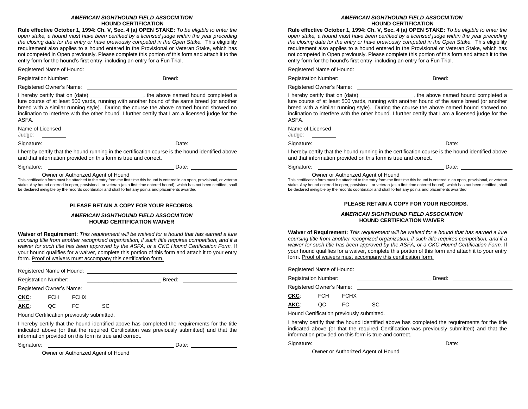### *AMERICAN SIGHTHOUND FIELD ASSOCIATION* **HOUND CERTIFICATION**

**Rule effective October 1, 1994: Ch. V, Sec. 4 (a) OPEN STAKE:** *To be eligible to enter the open stake, a hound must have been certified by a licensed judge within the year preceding the closing date for the entry or have previously competed in the Open Stake.* This eligibility requirement also applies to a hound entered in the Provisional or Veteran Stake, which has not competed in Open previously. Please complete this portion of this form and attach it to the entry form for the hound's first entry, including an entry for a Fun Trial.

Registered Name of Hound: University of American American Structure and American Structure and American Structure and American Structure and American Structure and American Structure and American Structure and American Str

Registration Number: \_\_\_\_\_\_\_\_\_\_\_\_\_\_\_\_\_\_\_\_\_\_\_\_\_ Breed:

Registered Owner's Name:

I hereby certify that on (date) \_\_\_\_\_\_\_\_\_\_\_\_\_\_\_\_\_, the above named hound completed a lure course of at least 500 yards, running with another hound of the same breed (or another breed with a similar running style). During the course the above named hound showed no inclination to interfere with the other hound. I further certify that I am a licensed judge for the ASFA.

Name of Licensed

Judge:

Signature: Date:

I hereby certify that the hound running in the certification course is the hound identified above and that information provided on this form is true and correct.

| Signature: | Date: |  |
|------------|-------|--|
|            |       |  |

Owner or Authorized Agent of Hound

This certification form must be attached to the entry form the first time this hound is entered in an open, provisional, or veteran stake. Any hound entered in open, provisional, or veteran (as a first time entered hound), which has not been certified, shall be declared ineligible by the records coordinator and shall forfeit any points and placements awarded.

### **PLEASE RETAIN A COPY FOR YOUR RECORDS.**

### *AMERICAN SIGHTHOUND FIELD ASSOCIATION* **HOUND CERTIFICATION WAIVER**

**Waiver of Requirement:** *This requirement will be waived for a hound that has earned a lure coursing title from another recognized organization, if such title requires competition, and if a waiver for such title has been approved by the ASFA, or a CKC Hound Certification Form.* If your hound qualifies for a waiver, complete this portion of this form and attach it to your entry form. Proof of waivers must accompany this certification form.

Registered Name of Hound:

| Registration Number:     |            |             | Breed: |
|--------------------------|------------|-------------|--------|
| Registered Owner's Name: |            |             |        |
| CKC:                     | <b>FCH</b> | <b>FCHX</b> |        |

**AKC**: QC FC SC

Hound Certification previously submitted.

I hereby certify that the hound identified above has completed the requirements for the title indicated above (or that the required Certification was previously submitted) and that the information provided on this form is true and correct.

Signature: Date:

Owner or Authorized Agent of Hound

### *AMERICAN SIGHTHOUND FIELD ASSOCIATION* **HOUND CERTIFICATION**

**Rule effective October 1, 1994: Ch. V, Sec. 4 (a) OPEN STAKE:** *To be eligible to enter the open stake, a hound must have been certified by a licensed judge within the year preceding the closing date for the entry or have previously competed in the Open Stake.* This eligibility requirement also applies to a hound entered in the Provisional or Veteran Stake, which has not competed in Open previously. Please complete this portion of this form and attach it to the entry form for the hound's first entry, including an entry for a Fun Trial.

Registered Name of Hound:

Registration Number: \_\_\_\_\_\_\_\_\_\_\_\_\_\_\_\_\_\_\_\_\_\_\_\_\_ Breed:

Registered Owner's Name:

I hereby certify that on (date) \_\_\_\_\_\_\_\_\_\_\_\_\_\_\_, the above named hound completed a lure course of at least 500 yards, running with another hound of the same breed (or another breed with a similar running style). During the course the above named hound showed no inclination to interfere with the other hound. I further certify that I am a licensed judge for the ASFA.

Name of Licensed

Judge:

Signature: <u>Date:</u> Date: Date: Date: Date: Date: Date: Date: Date: Date: Date: Date: Date: Date: Date: Date: Date: Date: Date: Date: Date: Date: Date: Date: Date: Date: Date: Date: Date: Date: Date: Date: Date: Date: Date:

I hereby certify that the hound running in the certification course is the hound identified above and that information provided on this form is true and correct.

Signature: Date: Date: Date: Date: Date: Date: Date: Date: Date: Date: Date: Date: Date: Date: Date: Date: Date: Date: Date: Date: Date: Date: Date: Date: Date: Date: Date: Date: Date: Date: Date: Date: Date: Date: Date: D

### Owner or Authorized Agent of Hound

This certification form must be attached to the entry form the first time this hound is entered in an open, provisional, or veteran stake. Any hound entered in open, provisional, or veteran (as a first time entered hound), which has not been certified, shall be declared ineligible by the records coordinator and shall forfeit any points and placements awarded.

### **PLEASE RETAIN A COPY FOR YOUR RECORDS.**

### *AMERICAN SIGHTHOUND FIELD ASSOCIATION* **HOUND CERTIFICATION WAIVER**

**Waiver of Requirement:** *This requirement will be waived for a hound that has earned a lure coursing title from another recognized organization, if such title requires competition, and if a waiver for such title has been approved by the ASFA, or a CKC Hound Certification Form.* If your hound qualifies for a waiver, complete this portion of this form and attach it to your entry form. Proof of waivers must accompany this certification form.

Registered Name of Hound: Registration Number: \_\_\_\_\_\_\_\_\_\_\_\_\_\_\_\_\_\_\_\_\_\_\_\_\_ Breed: Registered Owner's Name:

| CKC: | <b>FCH</b> | <b>FCHX</b> |     |
|------|------------|-------------|-----|
| AKC: | QC.        | FC          | SC. |

Hound Certification previously submitted.

I hereby certify that the hound identified above has completed the requirements for the title indicated above (or that the required Certification was previously submitted) and that the information provided on this form is true and correct.

Signature: Date:

Owner or Authorized Agent of Hound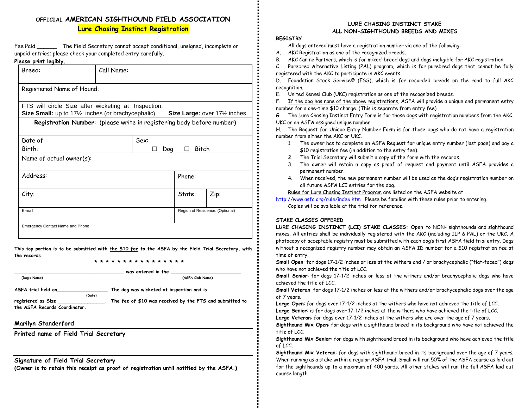## **OFFICIAL AMERICAN SIGHTHOUND FIELD ASSOCIATION Lure Chasing Instinct Registration**

Fee Paid The Field Secretary cannot accept conditional, unsigned, incomplete or unpaid entries; please check your completed entry carefully.

### **Please print legibly.**

| Breed:                                                                                                                                    | Call Name:                                                            |                                 |       |
|-------------------------------------------------------------------------------------------------------------------------------------------|-----------------------------------------------------------------------|---------------------------------|-------|
| Registered Name of Hound:                                                                                                                 |                                                                       |                                 |       |
|                                                                                                                                           |                                                                       |                                 |       |
| FTS will circle Size after wicketing at Inspection:                                                                                       |                                                                       |                                 |       |
| <b>Size Small:</b> up to 17 <sup>1</sup> / <sub>2</sub> inches (or brachycephalic) Size Large: over 17 <sup>1</sup> / <sub>2</sub> inches |                                                                       |                                 |       |
|                                                                                                                                           | Registration Number: (please write in registering body before number) |                                 |       |
| Date of                                                                                                                                   | Sex:                                                                  |                                 |       |
| Birth:                                                                                                                                    |                                                                       | Doa<br>$\perp$                  | Bitch |
| Name of actual owner $(s)$ :                                                                                                              |                                                                       |                                 |       |
| Address:                                                                                                                                  |                                                                       | Phone:                          |       |
| City:                                                                                                                                     |                                                                       | State:                          | Zip:  |
| E-mail                                                                                                                                    |                                                                       | Region of Residence: (Optional) |       |
| Emergency Contact Name and Phone                                                                                                          |                                                                       |                                 |       |

**This top portion is to be submitted with the \$10 fee to the ASFA by the Field Trial Secretary, with the records. \* \* \* \* \* \* \* \* \* \* \* \* \* \* \* \***

 **(Dog's Name) (ASFA Club Name)**

was entered in the

**ASFA trial held on\_\_\_\_\_\_\_\_\_\_\_\_\_\_\_\_\_. The dog was wicketed at inspection and is**

**(Date)**

**registered as Size \_\_\_\_\_\_\_\_\_\_\_\_\_\_\_\_. The fee of \$10 was received by the FTS and submitted to the ASFA Records Coordinator.** 

### **Marilyn Standerford**

**Printed name of Field Trial Secretary**

### **Signature of Field Trial Secretary**

**(Owner is to retain this receipt as proof of registration until notified by the ASFA.)**

### **LURE CHASING INSTINCT STAKE ALL NON-SIGHTHOUND BREEDS AND MIXES**

### **REGISTRY**

All dogs entered must have a registration number via one of the following:

- A. AKC Registration as one of the recognized breeds.
- B. AKC Canine Partners, which is for mixed-breed dogs and dogs ineligible for AKC registration.

C. Purebred Alternative Listing (PAL) program, which is for purebred dogs that cannot be fully registered with the AKC to participate in AKC events.

D. Foundation Stock Service® (FSS), which is for recorded breeds on the road to full AKC recognition.

E. United Kennel Club (UKC) registration as one of the recognized breeds.

F. If the dog has none of the above registrations, ASFA will provide a unique and permanent entry number for a one-time \$10 charge. (This is separate from entry fee).

G. The Lure Chasing Instinct Entry Form is for those dogs with registration numbers from the AKC, UKC or an ASFA assigned unique number.

H. The Request for Unique Entry Number Form is for those dogs who do not have a registration number from either the AKC or UKC.

- 1. The owner has to complete an ASFA Request for unique entry number (last page) and pay a \$10 registration fee (in addition to the entry fee).
- 2. The Trial Secretary will submit a copy of the form with the records.
- 3. The owner will retain a copy as proof of request and payment until ASFA provides a permanent number.
- 4. When received, the new permanent number will be used as the dog's registration number on all future ASFA LCI entries for the dog.

Rules for Lure Chasing Instinct Program are listed on the ASFA website at

<http://www.asfa.org/rule/index.htm> . Please be familiar with these rules prior to entering. Copies will be available at the trial for reference.

### **STAKE CLASSES OFFERED**

**LURE CHASING INSTINCT (LCI) STAKE CLASSES:** Open to NON- sighthounds and sighthound mixes. All entries shall be individually registered with the AKC (including ILP & PAL) or the UKC. A photocopy of acceptable registry must be submitted with each dog's first ASFA field trial entry. Dogs without a recognized registry number may obtain an ASFA ID number for a \$10 registration fee at time of entry.

**Small Open**: for dogs 17-1/2 inches or less at the withers and / or brachycephalic ("flat-faced") dogs who have not achieved the title of LCC.

**Small Senior**: for dogs 17-1/2 inches or less at the withers and/or brachycephalic dogs who have achieved the title of LCC.

**Small Veteran**: for dogs 17-1/2 inches or less at the withers and/or brachycephalic dogs over the age of 7 years.

**Large Open**: for dogs over 17-1/2 inches at the withers who have not achieved the title of LCC.

**Large Senior**: is for dogs over 17-1/2 inches at the withers who have achieved the title of LCC.

**Large Veteran**: for dogs over 17-1/2 inches at the withers who are over the age of 7 years.

**Sighthound Mix Open**: for dogs with a sighthound breed in its background who have not achieved the title of LCC.

**Sighthound Mix Senior**: for dogs with sighthound breed in its background who have achieved the title of LCC.

**Sighthound Mix Veteran**: for dogs with sighthound breed in its background over the age of 7 years. When running as a stake within a regular ASFA trial, Small will run 50% of the ASFA course as laid out for the sighthounds up to a maximum of 400 yards. All other stakes will run the full ASFA laid out course length.